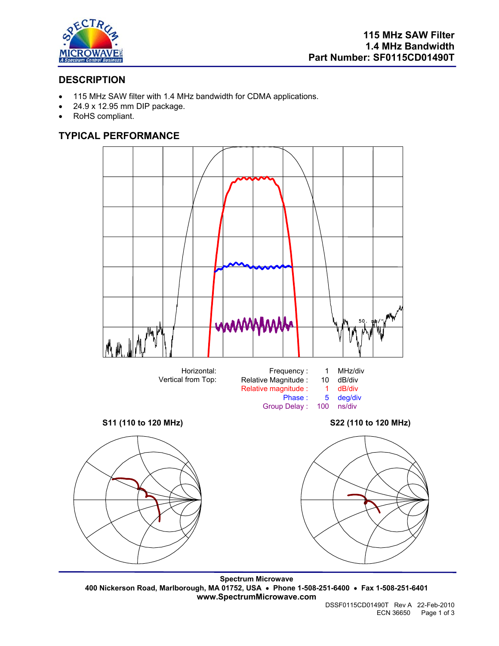

# **DESCRIPTION**

- 115 MHz SAW filter with 1.4 MHz bandwidth for CDMA applications.
- 24.9 x 12.95 mm DIP package.
- RoHS compliant.

# **TYPICAL PERFORMANCE**



**Spectrum Microwave 400 Nickerson Road, Marlborough, MA 01752, USA** • **Phone 1-508-251-6400** • **Fax 1-508-251-6401 www.SpectrumMicrowave.com**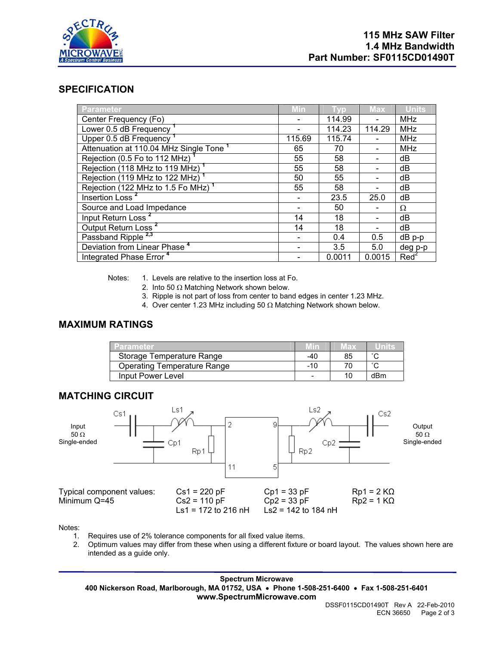

### **SPECIFICATION**

| Parameter                                                      | <b>Min</b> |        | <b>Max</b> | Units            |
|----------------------------------------------------------------|------------|--------|------------|------------------|
| Center Frequency (Fo)                                          |            | 114.99 |            | <b>MHz</b>       |
| Lower 0.5 dB Frequency <sup>1</sup>                            |            | 114.23 | 114.29     | <b>MHz</b>       |
| Upper 0.5 dB Frequency <sup>1</sup>                            | 115.69     | 115.74 |            | <b>MHz</b>       |
| Attenuation at 110.04 MHz Single Tone <sup>1</sup>             | 65         | 70     |            | <b>MHz</b>       |
| Rejection (0.5 Fo to 112 MHz)                                  | 55         | 58     |            | dB               |
| Rejection (118 MHz to 119 MHz) <sup>1</sup>                    | 55         | 58     |            | dB               |
| Rejection (119 MHz to 122 MHz) <sup>1</sup>                    | 50         | 55     |            | dB               |
| Rejection $(122 \text{ MHz to } 1.5 \text{ Fo } \text{MHz})^1$ | 55         | 58     |            | dB               |
| Insertion Loss <sup>2</sup>                                    |            | 23.5   | 25.0       | dB               |
| Source and Load Impedance                                      |            | 50     |            | Ω                |
| Input Return Loss <sup>2</sup>                                 | 14         | 18     |            | dB               |
| Output Return Loss <sup>2</sup>                                | 14         | 18     |            | dB               |
| Passband Ripple <sup>2,3</sup>                                 |            | 0.4    | 0.5        | $dB$ p-p         |
| Deviation from Linear Phase <sup>4</sup>                       |            | 3.5    | 5.0        | deg p-p          |
| Integrated Phase Error <sup>4</sup>                            |            | 0.0011 | 0.0015     | Red <sup>2</sup> |

Notes: 1. Levels are relative to the insertion loss at Fo.

- 2. Into 50  $\Omega$  Matching Network shown below.
- 3. Ripple is not part of loss from center to band edges in center 1.23 MHz.
- 4. Over center 1.23 MHz including 50 Ω Matching Network shown below.

## **MAXIMUM RATINGS**

| <b>Parameter</b>                   | Mm  | Max | unis   |
|------------------------------------|-----|-----|--------|
| Storage Temperature Range          | -40 | 85  | $\sim$ |
| <b>Operating Temperature Range</b> | -10 |     | $\sim$ |
| Input Power Level                  |     |     | dBm    |

### **MATCHING CIRCUIT**



Notes:

- 1. Requires use of 2% tolerance components for all fixed value items.
- 2. Optimum values may differ from these when using a different fixture or board layout. The values shown here are intended as a guide only.

**Spectrum Microwave 400 Nickerson Road, Marlborough, MA 01752, USA** • **Phone 1-508-251-6400** • **Fax 1-508-251-6401 www.SpectrumMicrowave.com**